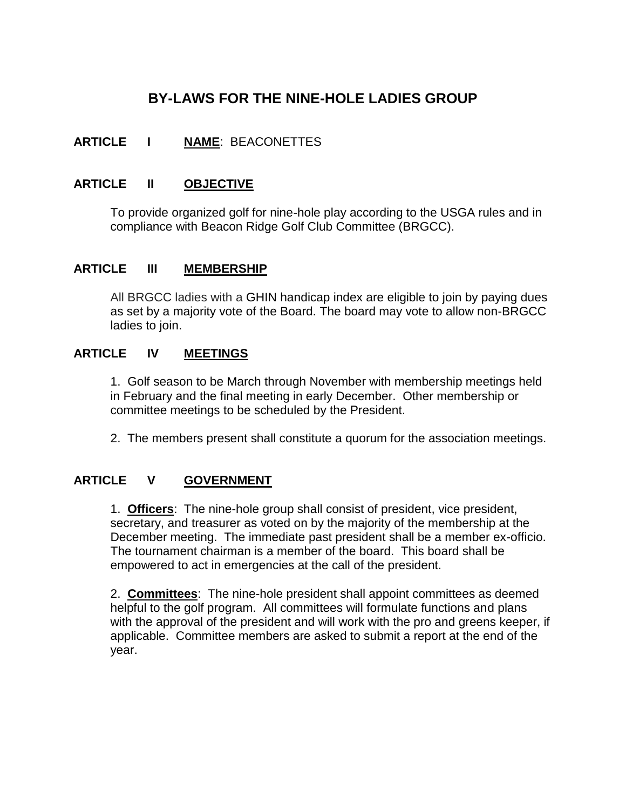# **BY-LAWS FOR THE NINE-HOLE LADIES GROUP**

## **ARTICLE I NAME**: BEACONETTES

#### **ARTICLE II OBJECTIVE**

To provide organized golf for nine-hole play according to the USGA rules and in compliance with Beacon Ridge Golf Club Committee (BRGCC).

#### **ARTICLE III MEMBERSHIP**

All BRGCC ladies with a GHIN handicap index are eligible to join by paying dues as set by a majority vote of the Board. The board may vote to allow non-BRGCC ladies to join.

#### **ARTICLE IV MEETINGS**

1. Golf season to be March through November with membership meetings held in February and the final meeting in early December. Other membership or committee meetings to be scheduled by the President.

2. The members present shall constitute a quorum for the association meetings.

#### **ARTICLE V GOVERNMENT**

1. **Officers**: The nine-hole group shall consist of president, vice president, secretary, and treasurer as voted on by the majority of the membership at the December meeting. The immediate past president shall be a member ex-officio. The tournament chairman is a member of the board. This board shall be empowered to act in emergencies at the call of the president.

2. **Committees**: The nine-hole president shall appoint committees as deemed helpful to the golf program. All committees will formulate functions and plans with the approval of the president and will work with the pro and greens keeper, if applicable. Committee members are asked to submit a report at the end of the year.